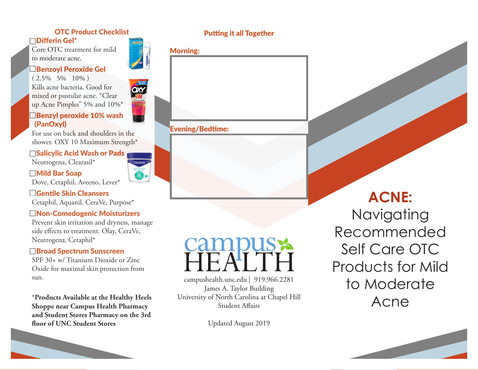# OTC Product Checklist

Differin Gel\*

Core OTC treatment for mild to moderate acne.

### Benzoyl Peroxide Gel

 $(2.5\% - 5\% - 10\%)$ Kills acne bacteria. Good for mixed or pustular acne. "Clear up Acne Pimples" 5% and 10%\*



For use on back and shoulders in the shower. OXY 10 Maximum Strength\*

# **□Salicylic Acid Wash or Pads**

Neutrogena, Clearasil\*

 Mild Bar Soap Dove, Cetaphil, Aveeno, Lever\*

 Gentile Skin Cleansers Cetaphil, Aquanil, CeraVe, Purpose\*

# Non-Comedogenic Moisturizers

Prevent skin irritation and dryness, manage side effects to treatment. Olay, CeraVe, Neutrogena, Cetaphil\*

#### **□Broad Spectrum Sunscreen**

SPF 30+ w/ Titanium Dioxide or Zinc Oxide for maximal skin protection from sun.

\***Products Available at the Healthy Heels Shoppe near Campus Health Pharmacy and Student Stores Pharmacy on the 3rd floor of UNC Student Stores**



**OM** 

# Putting it all Together

|  | тп |  |
|--|----|--|
|  |    |  |



#### Evening/Bedtime:

campushealth.unc.edu | 919.966.2281 James A. Taylor Building University of North Carolina at Chapel Hill Student Affairs

Updated August 2019

# **ACNE:**

Navigating Recommended Self Care OTC Products for Mild to Moderate Acne